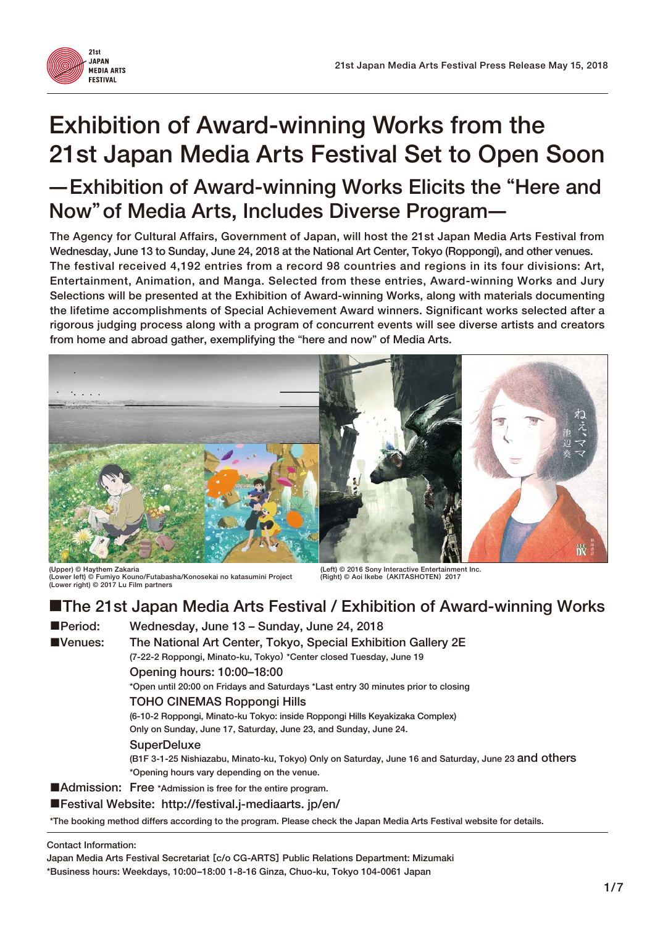

# **Exhibition of Award-winning Works from the 21st Japan Media Arts Festival Set to Open Soon** ̶**Exhibition of Award-winning Works Elicits the** "**Here and Now**" **of Media Arts, Includes Diverse Program**̶

**The Agency for Cultural Affairs, Government of Japan, will host the 21st Japan Media Arts Festival from Wednesday, June 13 to Sunday, June 24, 2018 at the National Art Center, Tokyo (Roppongi), and other venues. The festival received 4,192 entries from a record 98 countries and regions in its four divisions: Art, Entertainment, Animation, and Manga. Selected from these entries, Award-winning Works and Jury Selections will be presented at the Exhibition of Award-winning Works, along with materials documenting the lifetime accomplishments of Special Achievement Award winners. Significant works selected after a rigorous judging process along with a program of concurrent events will see diverse artists and creators from home and abroad gather, exemplifying the** "**here and now**" **of Media Arts.**



**(Upper) © Haythem Zakaria (Left) © 2016 Sony Interactive Entertainment Inc. (Lower left) © Fumiyo Kouno/Futabasha/Konosekai no katasumini Project (Right) © Aoi Ikebe**(**AKITASHOTEN**)**2017 (Lower right) © 2017 Lu Film partners**

### ■**The 21st Japan Media Arts Festival / Exhibition of Award-winning Works**

■**Period: Wednesday, June 13 – Sunday, June 24, 2018**  ■**Venues: The National Art Center, Tokyo, Special Exhibition Gallery 2E (7-22-2 Roppongi, Minato-ku, Tokyo**) **\*Center closed Tuesday, June 19 Opening hours: 10:00–18:00 \*Open until 20:00 on Fridays and Saturdays \*Last entry 30 minutes prior to closing**

#### **TOHO CINEMAS Roppongi Hills**

 **(6-10-2 Roppongi, Minato-ku Tokyo: inside Roppongi Hills Keyakizaka Complex) Only on Sunday, June 17, Saturday, June 23, and Sunday, June 24.**

#### **SuperDeluxe**

 **(B1F 3-1-25 Nishiazabu, Minato-ku, Tokyo) Only on Saturday, June 16 and Saturday, June 23 and others \*Opening hours vary depending on the venue.**

#### ■**Admission:** Free \*Admission is free for the entire program.

■**Festival Website: http://festival.j-mediaarts. jp/en/**

**\*The booking method differs according to the program. Please check the Japan Media Arts Festival website for details.**

#### **Contact Information:**

**Japan Media Arts Festival Secretariat** [**c/o CG-ARTS**] **Public Relations Department: Mizumaki**

**\*Business hours: Weekdays, 10:00–18:00 1-8-16 Ginza, Chuo-ku, Tokyo 104-0061 Japan**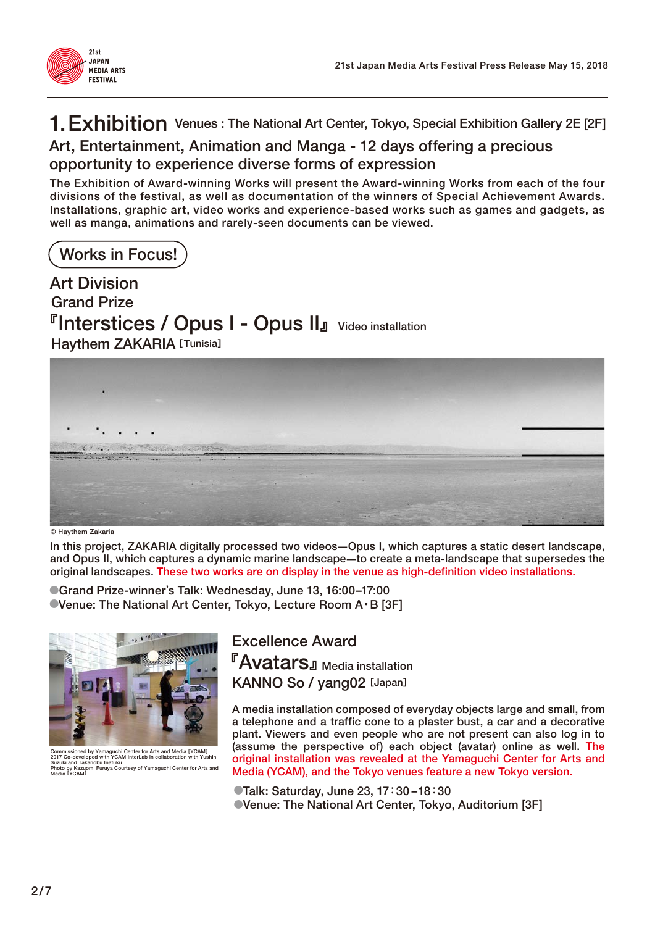

# **1. Exhibition Venues : The National Art Center, Tokyo, Special Exhibition Gallery 2E [2F]**

#### **Art, Entertainment, Animation and Manga - 12 days offering a precious opportunity to experience diverse forms of expression**

**The Exhibition of Award-winning Works will present the Award-winning Works from each of the four divisions of the festival, as well as documentation of the winners of Special Achievement Awards. Installations, graphic art, video works and experience-based works such as games and gadgets, as well as manga, animations and rarely-seen documents can be viewed.**

**Works in Focus!**

**Grand Prize** 『**Interstices / Opus I - Opus II**』**Video installation Haythem ZAKARIA**[**Tunisia**] **Art Division**



**© Haythem Zakaria**

**In this project, ZAKARIA digitally processed two videos**̶**Opus I, which captures a static desert landscape, and Opus II, which captures a dynamic marine landscape**̶**to create a meta-landscape that supersedes the original landscapes. These two works are on display in the venue as high-definition video installations.**

●**Grand Prize-winner**'**s Talk: Wednesday, June 13, 16:00–17:00**  ●**Venue: The National Art Center, Tokyo, Lecture Room A**・**B [3F]**



**Commissioned by Yamaguchi Center for Arts and Media** [**YCAM**] **2017 Co-developed with YCAM InterLab In collaboration with Yushin Suzuki and Takanobu Inafuku Inobu Inatuku<br>mi Furuya Courtesy of Yamaguchi Center for Arts a Media** [**YCAM**]

**Excellence Award** 『**Avatars**』**Media installation KANNO So / yang02** [**Japan**]

**A media installation composed of everyday objects large and small, from a telephone and a traffic cone to a plaster bust, a car and a decorative plant. Viewers and even people who are not present can also log in to (assume the perspective of) each object (avatar) online as well. The original installation was revealed at the Yamaguchi Center for Arts and Media (YCAM), and the Tokyo venues feature a new Tokyo version.**

●**Talk: Saturday, June 23, 17**:**30 –18**:**30**  ●**Venue: The National Art Center, Tokyo, Auditorium [3F]**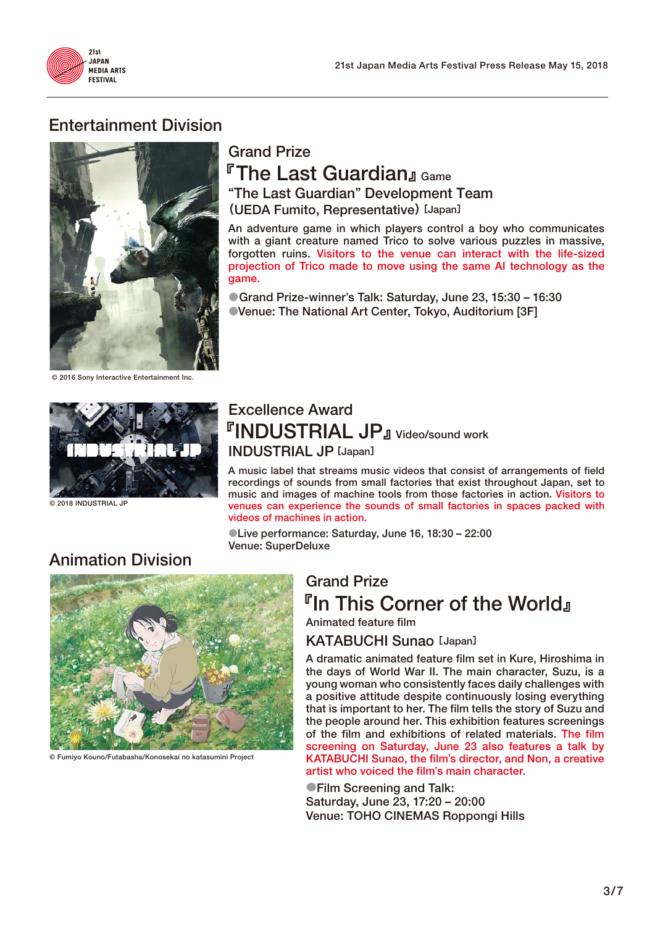

### **Entertainment Division**



**Grand Prize** 『**The Last Guardian**』**Game** "**The Last Guardian**" **Development Team** (**UEDA Fumito, Representative**)[**Japan**]

**An adventure game in which players control a boy who communicates with a giant creature named Trico to solve various puzzles in massive, forgotten ruins. Visitors to the venue can interact with the life-sized projection of Trico made to move using the same AI technology as the game.**

●**Grand Prize-winner**'**s Talk: Saturday, June 23, 15:30 – 16:30**  ●**Venue: The National Art Center, Tokyo, Auditorium [3F]**

**© 2016 Sony Interactive Entertainment Inc.**



**© 2018 INDUSTRIAL JP**

### **Excellence Award** 『**INDUSTRIAL JP**』**Video/sound work INDUSTRIAL JP**[**Japan**]

**A music label that streams music videos that consist of arrangements of field recordings of sounds from small factories that exist throughout Japan, set to music and images of machine tools from those factories in action. Visitors to venues can experience the sounds of small factories in spaces packed with videos of machines in action.**

●**Live performance: Saturday, June 16, 18:30 – 22:00 Venue: SuperDeluxe**

# **Animation Division**



**© Fumiyo Kouno/Futabasha/Konosekai no katasumini Project**

### **Grand Prize** 『**In This Corner of the World**』 **Animated feature film**

**KATABUCHI Sunao** [**Japan**]

**A dramatic animated feature film set in Kure, Hiroshima in the days of World War II. The main character, Suzu, is a young woman who consistently faces daily challenges with a positive attitude despite continuously losing everything that is important to her. The film tells the story of Suzu and the people around her. This exhibition features screenings of the film and exhibitions of related materials. The film screening on Saturday, June 23 also features a talk by KATABUCHI Sunao, the film**'**s director, and Non, a creative artist who voiced the film**'**s main character.**

●**Film Screening and Talk: Saturday, June 23, 17:20 – 20:00 Venue: TOHO CINEMAS Roppongi Hills**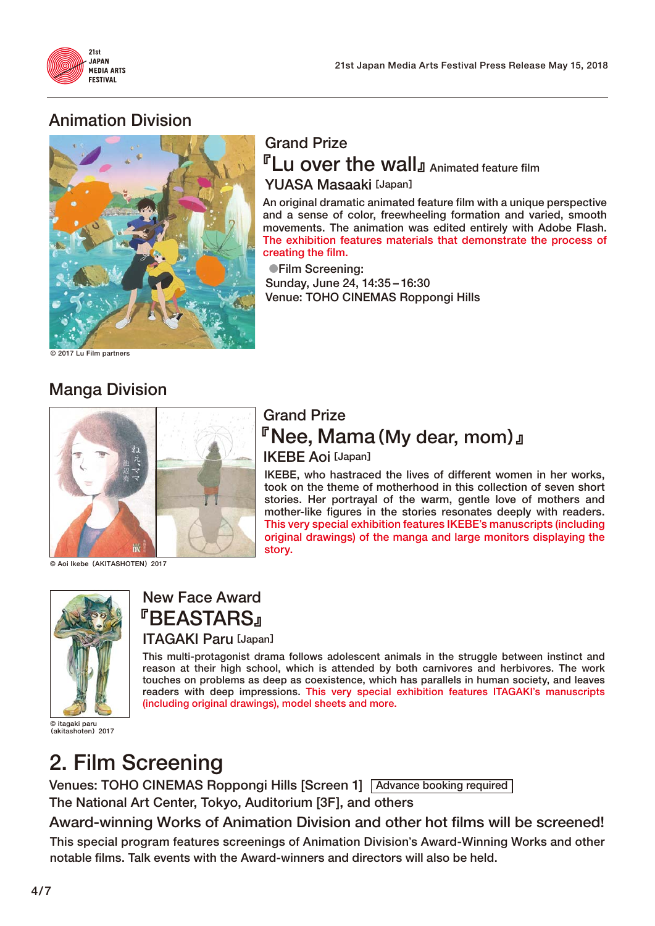

### **Animation Division**



### **Grand Prize** 『**Lu over the wall**』**Animated feature film YUASA Masaaki**[**Japan**]

**An original dramatic animated feature film with a unique perspective and a sense of color, freewheeling formation and varied, smooth movements. The animation was edited entirely with Adobe Flash. The exhibition features materials that demonstrate the process of creating the film.**

●**Film Screening: Sunday, June 24, 14:35 – 16:30 Venue: TOHO CINEMAS Roppongi Hills**

**© 2017 Lu Film partners**

### **Manga Division**



**© Aoi Ikebe**(**AKITASHOTEN**)**2017**



**New Face Award** 『**BEASTARS**』 **ITAGAKI Paru**[**Japan**]

**This multi-protagonist drama follows adolescent animals in the struggle between instinct and reason at their high school, which is attended by both carnivores and herbivores. The work touches on problems as deep as coexistence, which has parallels in human society, and leaves readers with deep impressions. This very special exhibition features ITAGAKI**'**s manuscripts (including original drawings), model sheets and more.**

**© itagaki paru** (**akitashoten**)**2017**

# **2. Film Screening**

**Venues: TOHO CINEMAS Roppongi Hills [Screen 1] Advance booking required The National Art Center, Tokyo, Auditorium [3F], and others**

**This special program features screenings of Animation Division**'**s Award-Winning Works and other notable films. Talk events with the Award-winners and directors will also be held. Award-winning Works of Animation Division and other hot films will be screened!**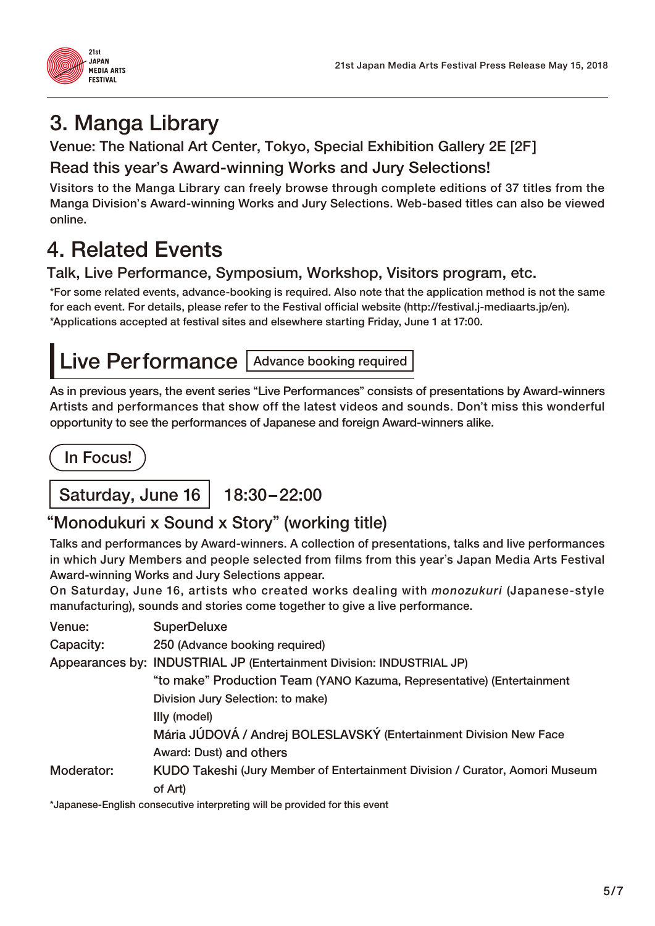

# **3. Manga Library**

### **Venue: The National Art Center, Tokyo, Special Exhibition Gallery 2E [2F] Read this year**'**s Award-winning Works and Jury Selections!**

**Visitors to the Manga Library can freely browse through complete editions of 37 titles from the Manga Division**'**s Award-winning Works and Jury Selections. Web-based titles can also be viewed online.**

# **4. Related Events**

#### **Talk, Live Performance, Symposium, Workshop, Visitors program, etc.**

**\*For some related events, advance-booking is required. Also note that the application method is not the same for each event. For details, please refer to the Festival official website (http://festival.j-mediaarts.jp/en). \*Applications accepted at festival sites and elsewhere starting Friday, June 1 at 17:00.**



**As in previous years, the event series** "**Live Performances**" **consists of presentations by Award-winners Artists and performances that show off the latest videos and sounds. Don**'**t miss this wonderful opportunity to see the performances of Japanese and foreign Award-winners alike.**

**In Focus!**

Saturday, June 16 | 18:30-22:00

# "**Monodukuri x Sound x Story**" **(working title)**

**Talks and performances by Award-winners. A collection of presentations, talks and live performances in which Jury Members and people selected from films from this year**'**s Japan Media Arts Festival Award-winning Works and Jury Selections appear.**

**On Saturday, June 16, artists who created works dealing with** *monozukuri* **(Japanese-style manufacturing), sounds and stories come together to give a live performance.**

| Venue:     | <b>SuperDeluxe</b>                                                           |
|------------|------------------------------------------------------------------------------|
| Capacity:  | 250 (Advance booking required)                                               |
|            | Appearances by: INDUSTRIAL JP (Entertainment Division: INDUSTRIAL JP)        |
|            | "to make" Production Team (YANO Kazuma, Representative) (Entertainment       |
|            | Division Jury Selection: to make)                                            |
|            | Illy (model)                                                                 |
|            | Mária JÚDOVÁ / Andrej BOLESLAVSKÝ (Entertainment Division New Face           |
|            | Award: Dust) and others                                                      |
| Moderator: | KUDO Takeshi (Jury Member of Entertainment Division / Curator, Aomori Museum |
|            | of Art)                                                                      |
|            |                                                                              |

**\*Japanese-English consecutive interpreting will be provided for this event**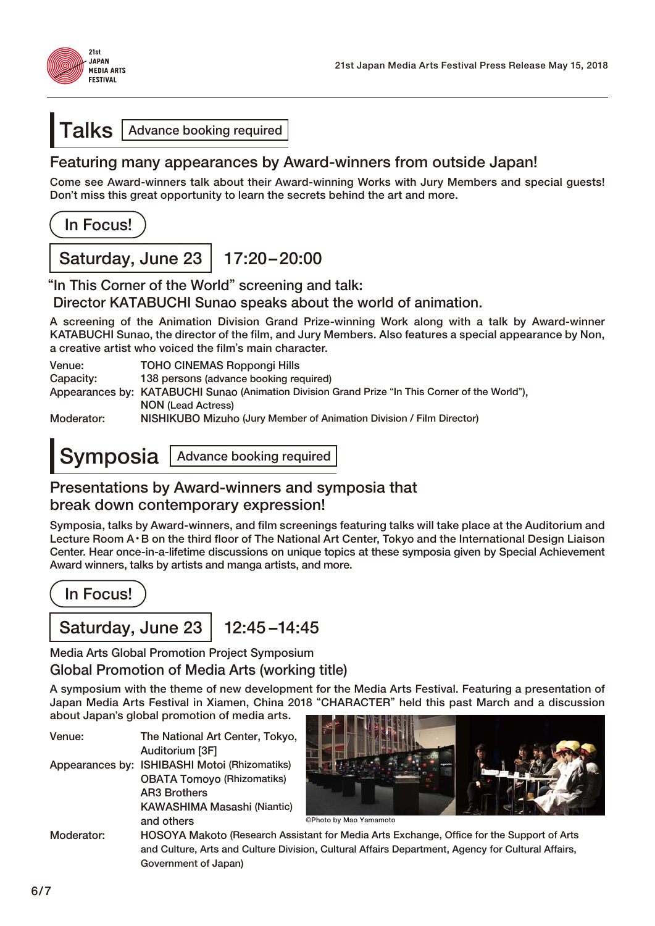

#### **Talks Advance booking required**

#### **Featuring many appearances by Award-winners from outside Japan!**

**Come see Award-winners talk about their Award-winning Works with Jury Members and special guests! Don**'**t miss this great opportunity to learn the secrets behind the art and more.**

**In Focus!**

**Saturday, June 23 17:20 – 20:00**

"**In This Corner of the World**" **screening and talk:** 

**Director KATABUCHI Sunao speaks about the world of animation.**

**A screening of the Animation Division Grand Prize-winning Work along with a talk by Award-winner KATABUCHI Sunao, the director of the film, and Jury Members. Also features a special appearance by Non, a creative artist who voiced the film**'**s main character.**

**Capacity: 138 persons (advance booking required)**

**Appearances by: KATABUCHI Sunao (Animation Division Grand Prize** "**In This Corner of the World**"**), NON (Lead Actress)**

**Moderator: NISHIKUBO Mizuho (Jury Member of Animation Division / Film Director)**

**Symposia Advance booking required** 

#### **Presentations by Award-winners and symposia that break down contemporary expression!**

**Symposia, talks by Award-winners, and film screenings featuring talks will take place at the Auditorium and Lecture Room A**・**B on the third floor of The National Art Center, Tokyo and the International Design Liaison Center. Hear once-in-a-lifetime discussions on unique topics at these symposia given by Special Achievement Award winners, talks by artists and manga artists, and more.**

**In Focus!**

### **Saturday, June 23 | 12:45 – 14:45**

**Media Arts Global Promotion Project Symposium**

**Global Promotion of Media Arts (working title)**

**A symposium with the theme of new development for the Media Arts Festival. Featuring a presentation of Japan Media Arts Festival in Xiamen, China 2018** "**CHARACTER**" **held this past March and a discussion about Japan**'**s global promotion of media arts.**

| Venue:     | The National Art Center, Tokyo,               |
|------------|-----------------------------------------------|
|            | Auditorium [3F]                               |
|            | Appearances by: ISHIBASHI Motoi (Rhizomatiks) |
|            | <b>OBATA Tomoyo (Rhizomatiks)</b>             |
|            | <b>AR3 Brothers</b>                           |
|            | <b>KAWASHIMA Masashi (Niantic)</b>            |
|            | and others                                    |
| Moderator: | <b>HOSOYA Makoto (Research Assis</b>          |



**©Photo by Mao Yamamoto**

stant for Media Arts Exchange, Office for the Support of Arts  **and Culture, Arts and Culture Division, Cultural Affairs Department, Agency for Cultural Affairs, Government of Japan)**